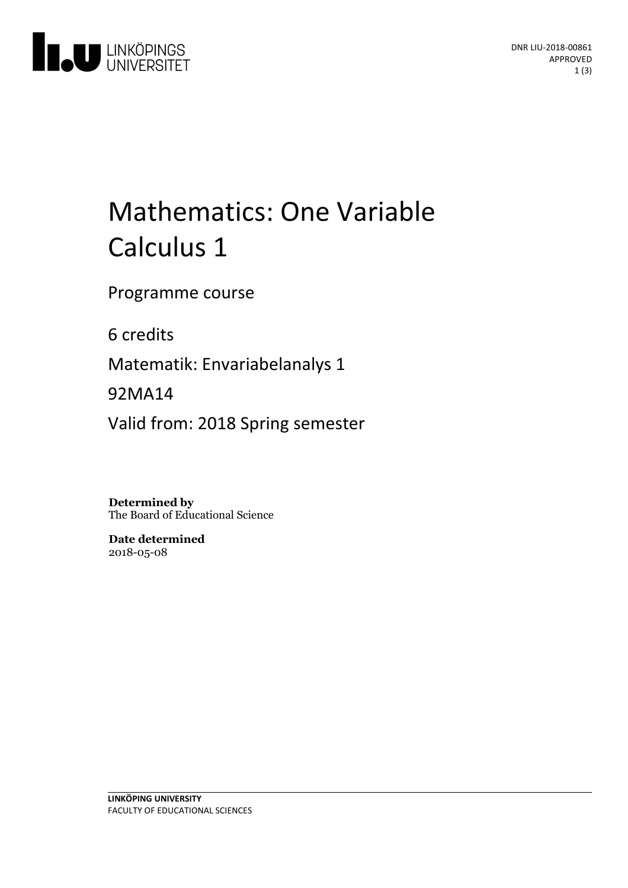

# Mathematics: One Variable Calculus 1

Programme course

6 credits

Matematik: Envariabelanalys 1

92MA14

Valid from: 2018 Spring semester

**Determined by** The Board of Educational Science

**Date determined** 2018-05-08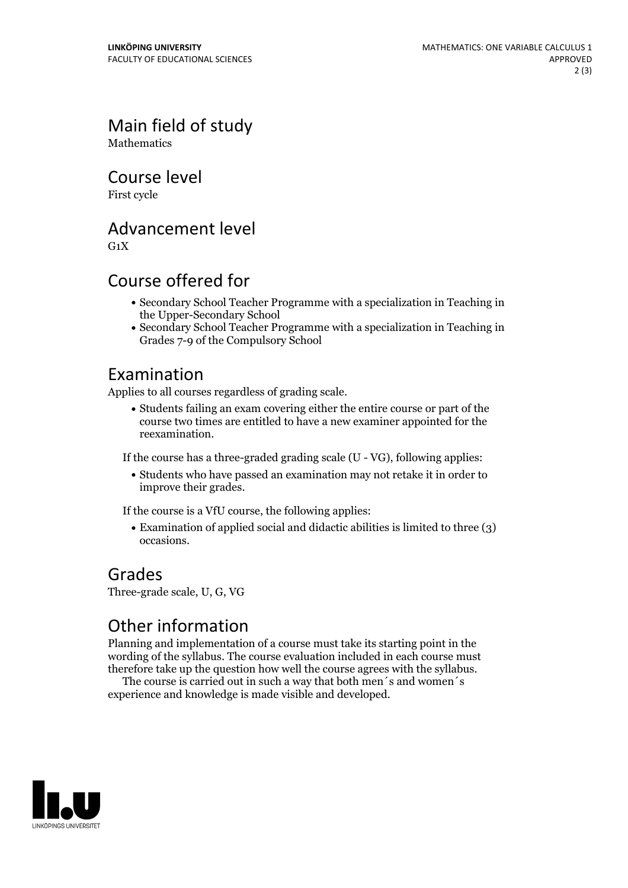Main field of study **Mathematics** 

Course level

First cycle

Advancement level

 $G_1X$ 

### Course offered for

- Secondary School Teacher Programme with a specialization in Teaching in the Upper-Secondary School
- Secondary School Teacher Programme with a specialization in Teaching in Grades 7-9 of the Compulsory School

#### Examination

Applies to all courses regardless of grading scale.

Students failing an exam covering either the entire course or part of the course two times are entitled to have a new examiner appointed for the reexamination.

If the course has a three-graded grading scale (U - VG), following applies:

Students who have passed an examination may not retake it in order to improve their grades.

If the course is a VfU course, the following applies:

Examination of applied social and didactic abilities is limited to three (3) occasions.

#### Grades

Three-grade scale, U, G, VG

## Other information

Planning and implementation of a course must take its starting point in the wording of the syllabus. The course evaluation included in each course must therefore take up the question how well the course agrees with the syllabus. The course is carried outin such <sup>a</sup> way that both men´s and women´s

experience and knowledge is made visible and developed.